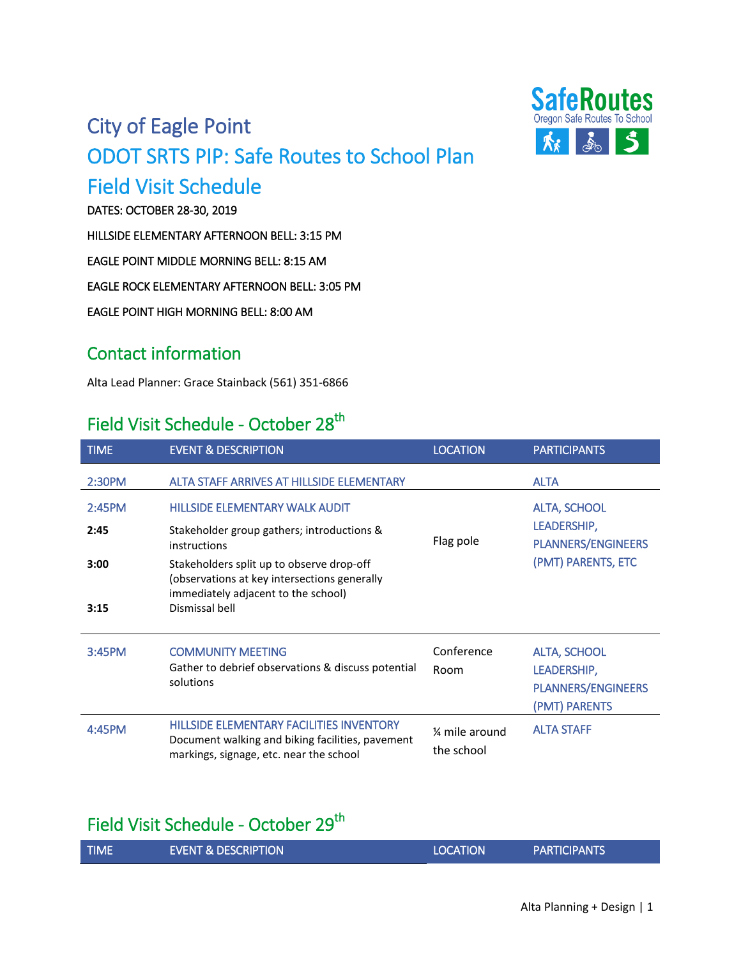## City of Eagle Point ODOT SRTS PIP: Safe Routes to School Plan



# Field Visit Schedule<br>DATES: OCTOBER 28-30, 2019

HILLSIDE ELEMENTARY AFTERNOON BELL: 3:15 PM

EAGLE POINT MIDDLE MORNING BELL: 8:15 AM

EAGLE ROCK ELEMENTARY AFTERNOON BELL: 3:05 PM

EAGLE POINT HIGH MORNING BELL: 8:00 AM

#### Contact information

Alta Lead Planner: Grace Stainback (561) 351-6866

### Field Visit Schedule - October 28<sup>th</sup>

| <b>TIME</b> | <b>EVENT &amp; DESCRIPTION</b>                                                                                                                 | <b>LOCATION</b> | <b>PARTICIPANTS</b>                        |
|-------------|------------------------------------------------------------------------------------------------------------------------------------------------|-----------------|--------------------------------------------|
| 2:30PM      | <b>ALTA STAFF ARRIVES AT HILLSIDE ELEMENTARY</b>                                                                                               |                 | <b>ALTA</b>                                |
| 2:45PM      | <b>HILLSIDE ELEMENTARY WALK AUDIT</b>                                                                                                          |                 | <b>ALTA, SCHOOL</b>                        |
| 2:45        | Stakeholder group gathers; introductions &<br>instructions                                                                                     | Flag pole       | LEADERSHIP,<br><b>PLANNERS/ENGINEERS</b>   |
| 3:00        | Stakeholders split up to observe drop-off<br>(observations at key intersections generally<br>immediately adjacent to the school)               |                 | (PMT) PARENTS, ETC                         |
| 3:15        | Dismissal bell                                                                                                                                 |                 |                                            |
| 3:45PM      | <b>COMMUNITY MEETING</b>                                                                                                                       | Conference      | <b>ALTA, SCHOOL</b>                        |
|             | Gather to debrief observations & discuss potential<br>solutions                                                                                | Room            | LEADERSHIP,                                |
|             |                                                                                                                                                |                 | <b>PLANNERS/ENGINEERS</b><br>(PMT) PARENTS |
| 4:45PM      | <b>HILLSIDE ELEMENTARY FACILITIES INVENTORY</b><br>Document walking and biking facilities, pavement<br>markings, signage, etc. near the school | 1/4 mile around | <b>ALTA STAFF</b>                          |
|             |                                                                                                                                                | the school      |                                            |

### Field Visit Schedule - October 29<sup>th</sup>

|  | <b>TIME</b> | LEVENT & DESCRIPTION ! | <b>LOCATION</b> | <b>PARTICIPANTS</b> |  |
|--|-------------|------------------------|-----------------|---------------------|--|
|--|-------------|------------------------|-----------------|---------------------|--|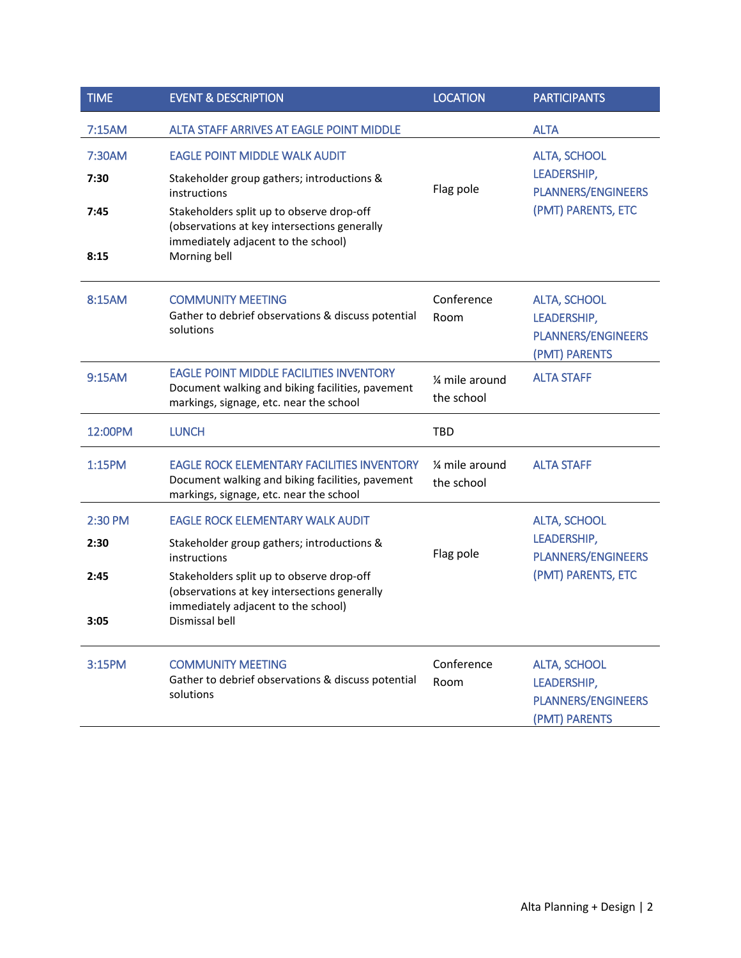| <b>TIME</b> | <b>EVENT &amp; DESCRIPTION</b>                                                                                                                   | <b>LOCATION</b>                           | <b>PARTICIPANTS</b>                                                              |
|-------------|--------------------------------------------------------------------------------------------------------------------------------------------------|-------------------------------------------|----------------------------------------------------------------------------------|
| 7:15AM      | <b>ALTA STAFF ARRIVES AT EAGLE POINT MIDDLE</b>                                                                                                  |                                           | <b>ALTA</b>                                                                      |
| 7:30AM      | <b>EAGLE POINT MIDDLE WALK AUDIT</b>                                                                                                             |                                           | <b>ALTA, SCHOOL</b>                                                              |
| 7:30        | Stakeholder group gathers; introductions &<br>instructions                                                                                       | Flag pole                                 | LEADERSHIP,<br><b>PLANNERS/ENGINEERS</b><br>(PMT) PARENTS, ETC                   |
| 7:45        | Stakeholders split up to observe drop-off<br>(observations at key intersections generally<br>immediately adjacent to the school)                 |                                           |                                                                                  |
| 8:15        | Morning bell                                                                                                                                     |                                           |                                                                                  |
| 8:15AM      | <b>COMMUNITY MEETING</b><br>Gather to debrief observations & discuss potential<br>solutions                                                      | Conference<br>Room                        | <b>ALTA, SCHOOL</b><br>LEADERSHIP,<br><b>PLANNERS/ENGINEERS</b><br>(PMT) PARENTS |
| 9:15AM      | <b>EAGLE POINT MIDDLE FACILITIES INVENTORY</b><br>Document walking and biking facilities, pavement<br>markings, signage, etc. near the school    | 1⁄4 mile around<br>the school             | <b>ALTA STAFF</b>                                                                |
| 12:00PM     | <b>LUNCH</b>                                                                                                                                     | TBD                                       |                                                                                  |
| 1:15PM      | <b>EAGLE ROCK ELEMENTARY FACILITIES INVENTORY</b><br>Document walking and biking facilities, pavement<br>markings, signage, etc. near the school | 1/ <sub>4</sub> mile around<br>the school | <b>ALTA STAFF</b>                                                                |
| 2:30 PM     | <b>EAGLE ROCK ELEMENTARY WALK AUDIT</b>                                                                                                          |                                           | <b>ALTA, SCHOOL</b>                                                              |
| 2:30        | Stakeholder group gathers; introductions &<br>instructions                                                                                       | Flag pole                                 | LEADERSHIP,<br><b>PLANNERS/ENGINEERS</b>                                         |
| 2:45        | Stakeholders split up to observe drop-off<br>(observations at key intersections generally<br>immediately adjacent to the school)                 |                                           | (PMT) PARENTS, ETC                                                               |
| 3:05        | Dismissal bell                                                                                                                                   |                                           |                                                                                  |
| 3:15PM      | <b>COMMUNITY MEETING</b><br>Gather to debrief observations & discuss potential                                                                   | Conference                                | <b>ALTA, SCHOOL</b>                                                              |
|             | solutions                                                                                                                                        | Room                                      | LEADERSHIP,<br><b>PLANNERS/ENGINEERS</b>                                         |
|             |                                                                                                                                                  |                                           | (PMT) PARENTS                                                                    |